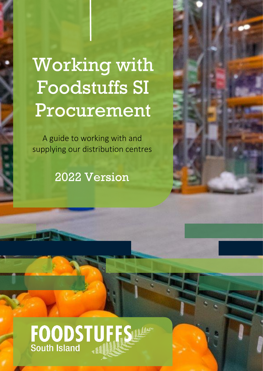# Working with Foodstuffs SI Procurement

A guide to working with and supplying our distribution centres

2022 Version



# FOODSTUFFS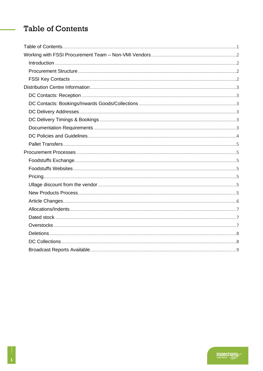# <span id="page-1-0"></span>**Table of Contents**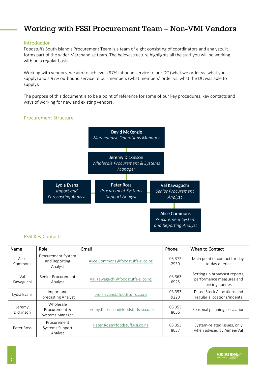## <span id="page-2-0"></span>Working with FSSI Procurement Team – Non-VMI Vendors

#### <span id="page-2-1"></span>Introduction

Foodstuffs South Island's Procurement Team is a team of eight consisting of coordinators and analysts. It forms part of the wider Merchandise team. The below structure highlights all the staff you will be working with on a regular basis.

Working with vendors, we aim to achieve a 97% inbound service to our DC (what we order vs. what you supply) and a 97% outbound service to our members (what members' order vs. what the DC was able to supply).

The purpose of this document is to be a point of reference for some of our key procedures, key contacts and ways of working for new and existing vendors.

#### <span id="page-2-2"></span>Procurement Structure



#### <span id="page-2-3"></span>FSSI Key Contacts

| Role<br>Name               |                                                | Email                                | Phone            | When to Contact                                                              |  |  |
|----------------------------|------------------------------------------------|--------------------------------------|------------------|------------------------------------------------------------------------------|--|--|
| Alice<br>Commons           | Procurement System<br>and Reporting<br>Analyst | Alice.Commons@foodstuffs-si.co.nz    | 03 372<br>2930   | Main point of contact for day-<br>to-day queries                             |  |  |
| Val<br>Kawaguchi           | Senior Procurement<br>Analyst                  | Val.Kawaguchi@foodstuffs-si.co.nz    | 03 3 63<br>6925  | Setting up broadcast reports,<br>performance measures and<br>pricing queries |  |  |
| Lydia Evans                | Import and<br><b>Forecasting Analyst</b>       | Lydia.Evans@foodstuffs.co.nz         | 03 3 5 3<br>9220 | Dated Stock Allocations and<br>regular allocations/indents                   |  |  |
| Jeremy<br><b>Dickinson</b> | Wholesale<br>Procurement &<br>Systems Manager  | Jeremy.Dickinson@foodstuffs-si.co.nz | 03 353<br>8656   | Seasonal planning, escalation                                                |  |  |
| Peter Ross                 | Procurement<br>Systems Support<br>Analyst      | Peter.Ross@foodstuffs-si.co.nz       | 03 3 5 3<br>8657 | System-related issues, only<br>when advised by Aimee/Val                     |  |  |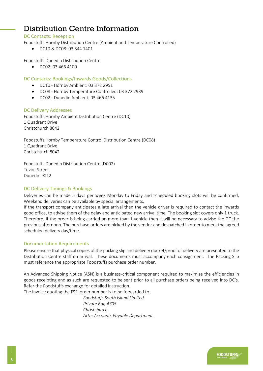# <span id="page-3-0"></span>Distribution Centre Information

#### <span id="page-3-1"></span>DC Contacts: Reception

Foodstuffs Hornby Distribution Centre (Ambient and Temperature Controlled)

• DC10 & DC08: 03 344 1401

Foodstuffs Dunedin Distribution Centre

• DC02: 03 466 4100

<span id="page-3-2"></span>DC Contacts: Bookings/Inwards Goods/Collections

- DC10 Hornby Ambient: 03 372 2951
- DC08 Hornby Temperature Controlled: 03 372 2939
- DC02 Dunedin Ambient: 03 466 4135

#### <span id="page-3-3"></span>DC Delivery Addresses

Foodstuffs Hornby Ambient Distribution Centre (DC10) 1 Quadrant Drive Christchurch 8042

Foodstuffs Hornby Temperature Control Distribution Centre (DC08) 1 Quadrant Drive Christchurch 8042

Foodstuffs Dunedin Distribution Centre (DC02) Teviot Street Dunedin 9012

#### <span id="page-3-4"></span>DC Delivery Timings & Bookings

Deliveries can be made 5 days per week Monday to Friday and scheduled booking slots will be confirmed. Weekend deliveries can be available by special arrangements.

If the transport company anticipates a late arrival then the vehicle driver is required to contact the inwards good office, to advise them of the delay and anticipated new arrival time. The booking slot covers only 1 truck. Therefore, if the order is being carried on more than 1 vehicle then it will be necessary to advise the DC the previous afternoon. The purchase orders are picked by the vendor and despatched in order to meet the agreed scheduled delivery day/time.

#### <span id="page-3-5"></span>Documentation Requirements

Please ensure that physical copies of the packing slip and delivery docket/proof of delivery are presented to the Distribution Centre staff on arrival. These documents must accompany each consignment. The Packing Slip must reference the appropriate Foodstuffs purchase order number.

An Advanced Shipping Notice (ASN) is a business-critical component required to maximise the efficiencies in goods receipting and as such are requested to be sent prior to all purchase orders being received into DC's. Refer the Foodstuffs exchange for detailed instruction.

The invoice quoting the FSSI order number is to be forwarded to:

*Foodstuffs South Island Limited. Private Bag 4705 Christchurch. Attn: Accounts Payable Department.*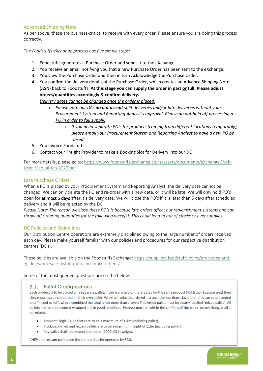#### <span id="page-4-0"></span>Advanced Shipping Note

As per above, these are business-critical to receive with every order. Please ensure you are doing this process correctly.

*The Foodstuffs eXchange process has five simple steps:*

- 1. Foodstuffs generates a Purchase Order and sends it to the eXchange.
- 2. You receive an email notifying you that a new Purchase Order has been sent to the eXchange.
- 3. You view the Purchase Order and then in turn Acknowledge the Purchase Order.
- 4. You confirm the delivery details of the Purchase Order, which creates an Advance Shipping Note (ASN) back to Foodstuffs. **At this stage you can supply the order in part or full. Please adjust orders/quantities accordingly & confirm delivery.**

*Delivery dates cannot be changed once the order is placed.*

- a. *Please note our DCs do not accept split deliveries and/or late deliveries without your Procurement System and Reporting Analyst's approval. Please do not hold off processing a PO in order to full supply.*
	- i. *If you need separate PO's for products (coming from different locations temporarily), please email your Procurement System and Reporting Analyst to have a new PO be raised.*
- 5. You invoice Foodstuffs.
- 6. Contact your Freight Provider to make a Booking Slot for Delivery into our DC

For more details, please go to: [https://www.foodstuffs-exchange.co.nz/assets/documents/eXchange-Web-](https://www.foodstuffs-exchange.co.nz/assets/documents/eXchange-Web-User-Manual-Jan-2020.pdf)[User-Manual-Jan-2020.pdf](https://www.foodstuffs-exchange.co.nz/assets/documents/eXchange-Web-User-Manual-Jan-2020.pdf)

#### Late Purchase Orders

When a PO is placed by your Procurement System and Reporting Analyst, the delivery date cannot be changed. We can only delete the PO and re-order with a new date, or it will be late. We will only hold PO's open for at most 5 days after it's delivery date. We will close the PO's if it is later than 5 days after scheduled delivery and it will be rejected by the DC.

*Please Note: The reason we close these PO's is because late orders affect our replenishment systems and can throw off ordering quantities for the following week(s). This could lead to out of stocks or over supplies.*

#### DC Policies and Guidelines

Our Distribution Centre operations are extremely disciplined owing to the large number of orders received each day. Please make yourself familiar with our policies and procedures for our respective distribution centres (DC's).

These policies are available on the Foodstuffs Exchange: [https://suppliers.foodstuffs.co.nz/processes-and](https://suppliers.foodstuffs.co.nz/processes-and-guides/wholesale-distribution-and-procurement/)[guides/wholesale-distribution-and-procurement/](https://suppliers.foodstuffs.co.nz/processes-and-guides/wholesale-distribution-and-procurement/)

Some of the most queried questions are on the below:

#### 3.1. Pallet Configurations

Each product is to be placed on a separate pallet. If there are two or more dates for the same product SKU (stock keeping unit) then they must also be separated on their own pallet. When a product is ordered in a quantity less than a layer then this can be presented on a "mixed pallet", where combined the total is not more than a layer. This mixed pallet must be clearly labelled "mixed pallet". All pallets are to be presented wrapped and in good condition. Product must be within the confines of the pallet, no overhang at all is permitted.

- Ambient Single SKU pallets are to be a maximum of 1.4m (including pallet).  $\bullet$
- Produce, chilled and frozen pallets are to be a maximum height of 1.2m (including pallet).
- Any pallet shall not exceed one tonne (1000KG) in weight.

CHEP and Loscam pallets are the standard pallet operated by FSSI.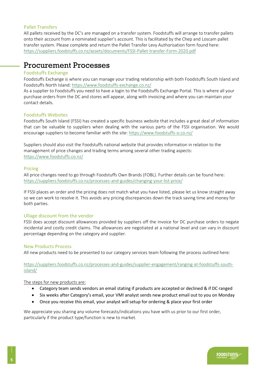#### <span id="page-5-0"></span>Pallet Transfers

All pallets received by the DC's are managed on a transfer system. Foodstuffs will arrange to transfer pallets onto their account from a nominated supplier's account. This is facilitated by the Chep and Loscam pallet transfer system. Please complete and return the Pallet Transfer Levy Authorisation form found here: <https://suppliers.foodstuffs.co.nz/assets/documents/FSSI-Pallet-transfer-Form-2020.pdf>

### <span id="page-5-1"></span>Procurement Processes

#### <span id="page-5-2"></span>Foodstuffs Exchange

Foodstuffs Exchange is where you can manage your trading relationship with both Foodstuffs South Island and Foodstuffs North Island[: https://www.foodstuffs-exchange.co.nz/](https://www.foodstuffs-exchange.co.nz/)

As a supplier to Foodstuffs you need to have a login to the Foodstuffs Exchange Portal. This is where all your purchase orders from the DC and stores will appear, along with invoicing and where you can maintain your contact details.

#### <span id="page-5-3"></span>Foodstuffs Websites

Foodstuffs South Island (FSSI) has created a specific business website that includes a great deal of information that can be valuable to suppliers when dealing with the various parts of the FSSI organisation. We would encourage suppliers to become familiar with the site[: https://www.foodstuffs-si.co.nz/](https://www.foodstuffs-si.co.nz/)

Suppliers should also visit the Foodstuffs national website that provides information in relation to the management of price changes and trading terms among several other trading aspects: <https://www.foodstuffs.co.nz/>

#### <span id="page-5-4"></span>Pricing

All price changes need to go through Foodstuffs Own Brands (FOBL). Further details can be found here: <https://suppliers.foodstuffs.co.nz/processes-and-guides/changing-your-list-price/>

If FSSI places an order and the pricing does not match what you have listed, please let us know straight away so we can work to resolve it. This avoids any pricing discrepancies down the track saving time and money for both parties.

#### <span id="page-5-5"></span>Ullage discount from the vendor

FSSI does accept discount allowances provided by suppliers off the invoice for DC purchase orders to negate incidental and costly credit claims. The allowances are negotiated at a national level and can vary in discount percentage depending on the category and supplier.

#### <span id="page-5-6"></span>New Products Process

All new products need to be presented to our category services team following the process outlined here:

[https://suppliers.foodstuffs.co.nz/processes-and-guides/supplier-engagement/ranging-at-foodstuffs-south](https://suppliers.foodstuffs.co.nz/processes-and-guides/supplier-engagement/ranging-at-foodstuffs-south-island/)[island/](https://suppliers.foodstuffs.co.nz/processes-and-guides/supplier-engagement/ranging-at-foodstuffs-south-island/)

#### The steps for new products are:

- Category team sends vendors an email stating if products are accepted or declined & if DC ranged
- Six weeks after Category's email, your VMI analyst sends new product email out to you on Monday
- Once you receive this email, your analyst will setup for ordering & place your first order

We appreciate you sharing any volume forecasts/indications you have with us prior to our first order, particularly if the product type/function is new to market.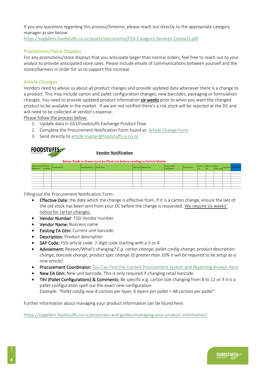<span id="page-6-0"></span>If you any questions regarding this process/timeline, please reach out directly to the appropriate category manager as per below: <https://suppliers.foodstuffs.co.nz/assets/documents/FSSI-Category-Services-Contacts.pdf>

#### Promotions/Store Displays

For any promotions/store displays that you anticipate larger than normal orders, feel free to reach out to your analyst to provide anticipated store sales. Please include emails of communications between yourself and the stores/banners in order for us to support this increase.

#### Article Changes

Vendors need to advise us about all product changes and provide updated data whenever there is a change to a product. This may include carton and pallet configuration changes, new barcodes, packaging or formulation changes. You need to provide updated product information *six weeks* prior to when you want the changed product to be available in the market. If we are not notified there's a risk stock will be rejected at the DC and will need to be collected at vendor's expense.

Please follow the process below:

- 1. Update data in GS1/Foodstuffs Exchange Product Flow
- 2. Complete the Procurement Notification Form found at: [Article Change Form](https://www.foodstuffs-exchange.co.nz/assets/documents/FSSI-Vendor-Notification-Template-20210324.xlsx)
- 3. Send directly t[o article.master@foodstuffs-si.co.nz](mailto:article.master@foodstuffs-si.co.nz)

| FOODSTUFFS                        |               |             | <b>Vendor Notification</b><br>Below fields in Green must be filled out before sending to Article Master |  |  |                            |                            |             |                             |     |  |  |                              |
|-----------------------------------|---------------|-------------|---------------------------------------------------------------------------------------------------------|--|--|----------------------------|----------------------------|-------------|-----------------------------|-----|--|--|------------------------------|
| Effective Date Vendor<br>DD/MM/YY | <b>Number</b> | Vendor Name | <b>Existing EA Gtin Description</b>                                                                     |  |  | <b>SAP Code Advisement</b> | Procurement<br>Coordinator | New EA Gtin | Old Ti X New Ti x New<br>Hi | lнı |  |  | CAR/Layer Layer/Pal Comments |
|                                   |               |             |                                                                                                         |  |  |                            |                            |             |                             |     |  |  |                              |
|                                   |               |             |                                                                                                         |  |  |                            |                            |             |                             |     |  |  |                              |

Filling out the Procurement Notification Form:

- **Effective Date:** the date which the change is effective from. If it is a carton change, ensure the last of the old stock has been sent from your DC before the change is requested. We require six weeks' notice for carton changes.
- Vendor Number: FSSI Vendor number
- Vendor Name: Business name
- Existing EA Gtin: Current unit barcode
- Description: Product description
- SAP Code: FSSI article code. 7-digit code starting with a 3 or 4
- Advisement: Reason/What's changing*? E.g. carton change, pallet config change, product description change, barcode change, product spec change (if greater than 10% it will be required to be setup as a new article)*
- Procurement Coordinator: You Can Find the [Current Procurement System and Reporting Analyst Here](#page-2-3)
- New EA Gtin: New unit barcode. This is only required if changing retail barcode.
- Tihi (Pallet Configurations) & Comments: Be specific e.g. carton size changing from 8 to 12 or if it is a pallet configuration spell out the exact new configuration *Example: "Pallet config now 8 cartons per layer, 6 layers per pallet = 48 cartons per pallet"*

Further information about managing your product information can be found here:

<span id="page-6-1"></span><https://suppliers.foodstuffs.co.nz/processes-and-guides/managing-your-product-information/>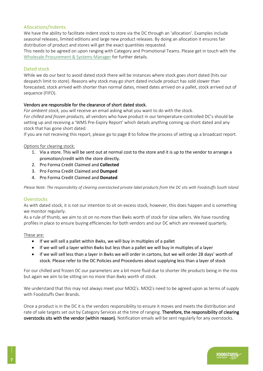#### Allocations/Indents

We have the ability to facilitate indent stock to store via the DC through an 'allocation'. Examples include seasonal releases, limited editions and large new product releases. By doing an allocation it ensures fair distribution of product and stores will get the exact quantities requested.

This needs to be agreed on upon ranging with Category and Promotional Teams. Please get in touch with the [Wholesale Procurement & Systems Manager](#page-2-3) for further details.

#### <span id="page-7-0"></span>Dated stock

While we do our best to avoid dated stock there will be instances where stock goes short dated (hits our despatch limit to store). Reasons why stock may go short dated include product has sold slower than forecasted, stock arrived with shorter than normal dates, mixed dates arrived on a pallet, stock arrived out of sequence (FIFO).

#### Vendors are responsible for the clearance of short dated stock.

*For ambient stock,* you will receive an email asking what you want to do with the stock. *For chilled and frozen products,* all vendors who have product in our temperature-controlled DC's should be setting up and receiving a 'WMS Pre-Expiry Report' which details anything coming up short dated and any stock that has gone short dated.

If you are not receiving this report, please go to page 8 to follow the process of setting up a broadcast report.

#### Options for clearing stock:

- 1. Via a store. This will be sent out at normal cost to the store and it is up to the vendor to arrange a promotion/credit with the store directly.
- 2. Pro Forma Credit Claimed and **Collected**
- 3. Pro Forma Credit Claimed and **Dumped**
- 4. Pro Forma Credit Claimed and **Donated**

*Please Note: The responsibility of clearing overstocked private label products from the DC sits with Foodstuffs South Island*

#### <span id="page-7-1"></span>**Overstocks**

As with dated stock, it is not our intention to sit on excess stock, however, this does happen and is something we monitor regularly.

As a rule of thumb, we aim to sit on no more than 8wks worth of stock for slow sellers. We have rounding profiles in place to ensure buying efficiencies for both vendors and our DC which are reviewed quarterly.

#### These are:

- If we will sell a pallet within 8wks, we will buy in multiples of a pallet
- If we will sell a layer within 8wks but less than a pallet we will buy in multiples of a layer
- If we will sell less than a layer in 8wks we will order in cartons, but we will order 28 days' worth of stock. Please refer to the DC Policies and Procedures about supplying less than a layer of stock

For our chilled and frozen DC our parameters are a bit more fluid due to shorter life products being in the mix but again we aim to be sitting on no more than 8wks worth of stock.

We understand that this may not always meet your MOQ's. MOQ's need to be agreed upon as terms of supply with Foodstuffs Own Brands.

Once a product is in the DC it is the vendors responsibility to ensure it moves and meets the distribution and rate of sale targets set out by Category Services at the time of ranging. Therefore, the responsibility of clearing overstocks sits with the vendor (within reason). Notification emails will be sent regularly for any overstocks.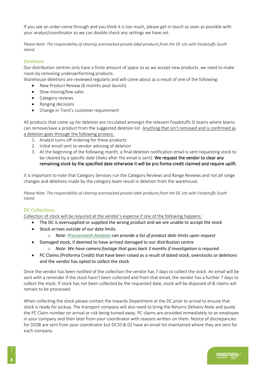If you see an order come through and you think it is too much, please get in touch as soon as possible with your analyst/coordinator so we can double check any settings we have set.

*Please Note: The responsibility of clearing overstocked private label products from the DC sits with Foodstuffs South Island.* 

#### <span id="page-8-0"></span>Deletions

Our distribution centres only have a finite amount of space so as we accept new products, we need to make room by removing underperforming products.

Warehouse deletions are reviewed regularly and will come about as a result of one of the following:

- New Product Review (6 months post launch)
- Slow moving/low sales
- Category reviews
- Ranging decisions
- Change in Trent's customer requirement

All products that come up for deletion are circulated amongst the relevant Foodstuffs SI teams where teams can remove/save a product from the suggested deletion list. Anything that isn't removed and is confirmed as a deletion goes through the following process:

- 1. Analyst turns off ordering for these products
- 2. Initial email sent to vendor advising of deletion
- 3. At the beginning of the following month, a final deletion notification email is sent requesting stock to be cleared by a specific date (4wks after the email is sent). We request the vendor to clear any remaining stock by the specified date otherwise it will be pro forma credit claimed and require uplift.

It is important to note that Category Services run the Category Reviews and Range Reviews and not all range changes and deletions made by the category team result in deletion from the warehouse.

*Please Note: The responsibility of clearing overstocked private label products from the DC sits with Foodstuffs South Island.* 

#### <span id="page-8-1"></span>DC Collections

Collection of stock will be required at the vendor's expense if one of the following happens:

- The DC is oversupplied or supplied the wrong product and we are unable to accept the stock
	- Stock arrives outside of our date limits
		- o *Note: [Procurement Analysts](#page-2-3) can provide a list of product date limits upon request*
	- Damaged stock, if deemed to have arrived damaged to our distribution centre
		- o *Note: We have camera footage that goes back 3 months if investigation is required*
	- PC Claims (Proforma Credit) that have been raised as a result of dated stock, overstocks or deletions and the vendor has opted to collect the stock

Once the vendor has been notified of the collection the vendor has 7 days to collect the stock. An email will be sent with a reminder if the stock hasn't been collected and from that email, the vendor has a further 7 days to collect the stock. If stock has not been collected by the requested date, stock will be disposed of & claims will remain to be processed.

When collecting the stock please contact the Inwards Department at the DC prior to arrival to ensure that stock is ready for pickup. The transport company will also need to bring the Returns Delivery Note and quote the PC Claim number on arrival or risk being turned away. PC claims are provided immediately to an employee in your company and then later from your coordinator with reasons written on them. Notice of discrepancies for DC08 are sent from your coordinator but DC10 & 02 have an email list maintained where they are sent for each company.